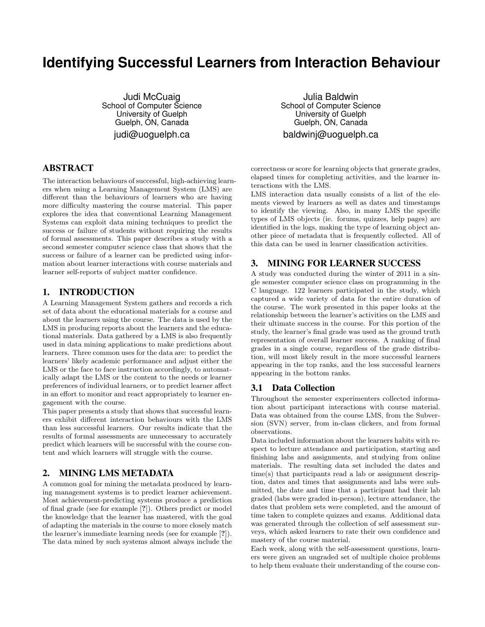# **Identifying Successful Learners from Interaction Behaviour**

Judi McCuaig School of Computer Science University of Guelph Guelph, ON, Canada judi@uoguelph.ca

# ABSTRACT

The interaction behaviours of successful, high-achieving learners when using a Learning Management System (LMS) are different than the behaviours of learners who are having more difficulty mastering the course material. This paper explores the idea that conventional Learning Management Systems can exploit data mining techniques to predict the success or failure of students without requiring the results of formal assessments. This paper describes a study with a second semester computer science class that shows that the success or failure of a learner can be predicted using information about learner interactions with course materials and learner self-reports of subject matter confidence.

## 1. INTRODUCTION

A Learning Management System gathers and records a rich set of data about the educational materials for a course and about the learners using the course. The data is used by the LMS in producing reports about the learners and the educational materials. Data gathered by a LMS is also frequently used in data mining applications to make predictions about learners. Three common uses for the data are: to predict the learners' likely academic performance and adjust either the LMS or the face to face instruction accordingly, to automatically adapt the LMS or the content to the needs or learner preferences of individual learners, or to predict learner affect in an effort to monitor and react appropriately to learner engagement with the course.

This paper presents a study that shows that successful learners exhibit different interaction behaviours with the LMS than less successful learners. Our results indicate that the results of formal assessments are unnecessary to accurately predict which learners will be successful with the course content and which learners will struggle with the course.

## 2. MINING LMS METADATA

A common goal for mining the metadata produced by learning management systems is to predict learner achievement. Most achievement-predicting systems produce a prediction of final grade (see for example [?]). Others predict or model the knowledge that the learner has mastered, with the goal of adapting the materials in the course to more closely match the learner's immediate learning needs (see for example [?]). The data mined by such systems almost always include the

Julia Baldwin School of Computer Science University of Guelph Guelph, ON, Canada baldwinj@uoguelph.ca

correctness or score for learning objects that generate grades, elapsed times for completing activities, and the learner interactions with the LMS.

LMS interaction data usually consists of a list of the elements viewed by learners as well as dates and timestamps to identify the viewing. Also, in many LMS the specific types of LMS objects (ie. forums, quizzes, help pages) are identified in the logs, making the type of learning object another piece of metadata that is frequently collected. All of this data can be used in learner classification activities.

## 3. MINING FOR LEARNER SUCCESS

A study was conducted during the winter of 2011 in a single semester computer science class on programming in the C language. 122 learners participated in the study, which captured a wide variety of data for the entire duration of the course. The work presented in this paper looks at the relationship between the learner's activities on the LMS and their ultimate success in the course. For this portion of the study, the learner's final grade was used as the ground truth representation of overall learner success. A ranking of final grades in a single course, regardless of the grade distribution, will most likely result in the more successful learners appearing in the top ranks, and the less successful learners appearing in the bottom ranks.

#### 3.1 Data Collection

Throughout the semester experimenters collected information about participant interactions with course material. Data was obtained from the course LMS, from the Subversion (SVN) server, from in-class clickers, and from formal observations.

Data included information about the learners habits with respect to lecture attendance and participation, starting and finishing labs and assignments, and studying from online materials. The resulting data set included the dates and time(s) that participants read a lab or assignment description, dates and times that assignments and labs were submitted, the date and time that a participant had their lab graded (labs were graded in-person), lecture attendance, the dates that problem sets were completed, and the amount of time taken to complete quizzes and exams. Additional data was generated through the collection of self assessment surveys, which asked learners to rate their own confidence and mastery of the course material.

Each week, along with the self-assessment questions, learners were given an ungraded set of multiple choice problems to help them evaluate their understanding of the course con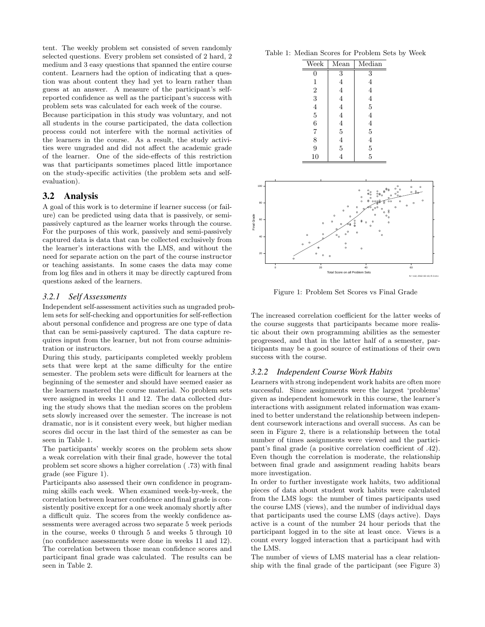tent. The weekly problem set consisted of seven randomly selected questions. Every problem set consisted of 2 hard, 2 medium and 3 easy questions that spanned the entire course content. Learners had the option of indicating that a question was about content they had yet to learn rather than guess at an answer. A measure of the participant's selfreported confidence as well as the participant's success with problem sets was calculated for each week of the course.

Because participation in this study was voluntary, and not all students in the course participated, the data collection process could not interfere with the normal activities of the learners in the course. As a result, the study activities were ungraded and did not affect the academic grade of the learner. One of the side-effects of this restriction was that participants sometimes placed little importance on the study-specific activities (the problem sets and selfevaluation).

#### 3.2 Analysis

A goal of this work is to determine if learner success (or failure) can be predicted using data that is passively, or semipassively captured as the learner works through the course. For the purposes of this work, passively and semi-passively captured data is data that can be collected exclusively from the learner's interactions with the LMS, and without the need for separate action on the part of the course instructor or teaching assistants. In some cases the data may come from log files and in others it may be directly captured from questions asked of the learners.

#### *3.2.1 Self Assessments*

Independent self-assessment activities such as ungraded problem sets for self-checking and opportunities for self-reflection about personal confidence and progress are one type of data that can be semi-passively captured. The data capture requires input from the learner, but not from course administration or instructors.

During this study, participants completed weekly problem sets that were kept at the same difficulty for the entire semester. The problem sets were difficult for learners at the beginning of the semester and should have seemed easier as the learners mastered the course material. No problem sets were assigned in weeks 11 and 12. The data collected during the study shows that the median scores on the problem sets slowly increased over the semester. The increase is not dramatic, nor is it consistent every week, but higher median scores did occur in the last third of the semester as can be seen in Table 1.

The participants' weekly scores on the problem sets show a weak correlation with their final grade, however the total problem set score shows a higher correlation ( .73) with final grade (see Figure 1).

Participants also assessed their own confidence in programming skills each week. When examined week-by-week, the correlation between learner confidence and final grade is consistently positive except for a one week anomaly shortly after a difficult quiz. The scores from the weekly confidence assessments were averaged across two separate 5 week periods in the course, weeks 0 through 5 and weeks 5 through 10 (no confidence assessments were done in weeks 11 and 12). The correlation between those mean confidence scores and participant final grade was calculated. The results can be seen in Table 2.

Table 1: Median Scores for Problem Sets by Week

| Week           | Mean           | Median         |
|----------------|----------------|----------------|
| 0              | 3              | 3              |
| 1              | 4              | 4              |
| $\overline{2}$ | 4              | 4              |
| 3              | 4              | 4              |
| 4              | 4              | $\overline{5}$ |
| 5              | 4              | 4              |
| 6              | 4              | 4              |
| $\overline{7}$ | $\bf 5$        | $\overline{5}$ |
| 8              | $\overline{4}$ | $\overline{4}$ |
| 9              | $\overline{5}$ | $\overline{5}$ |
| 10             | 4              | 5              |



Figure 1: Problem Set Scores vs Final Grade

The increased correlation coefficient for the latter weeks of the course suggests that participants became more realistic about their own programming abilities as the semester progressed, and that in the latter half of a semester, participants may be a good source of estimations of their own success with the course.

#### *3.2.2 Independent Course Work Habits*

Learners with strong independent work habits are often more successful. Since assignments were the largest 'problems' given as independent homework in this course, the learner's interactions with assignment related information was examined to better understand the relationship between independent coursework interactions and overall success. As can be seen in Figure 2, there is a relationship between the total number of times assignments were viewed and the participant's final grade (a positive correlation coefficient of .42). Even though the correlation is moderate, the relationship between final grade and assignment reading habits bears more investigation.

In order to further investigate work habits, two additional pieces of data about student work habits were calculated from the LMS logs: the number of times participants used the course LMS (views), and the number of individual days that participants used the course LMS (days active). Days active is a count of the number 24 hour periods that the participant logged in to the site at least once. Views is a count every logged interaction that a participant had with the LMS.

The number of views of LMS material has a clear relationship with the final grade of the participant (see Figure 3)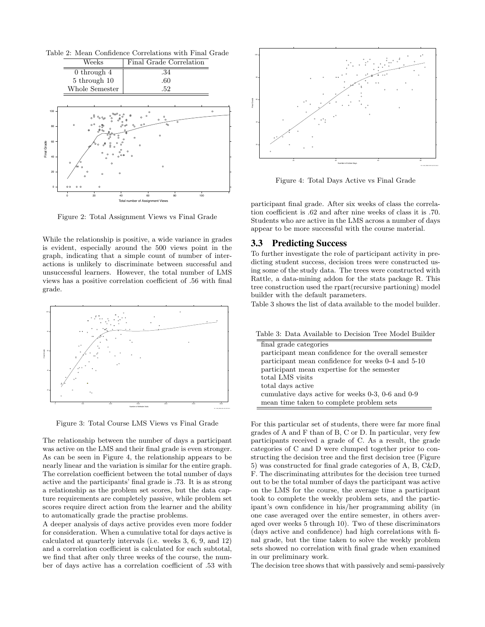Table 2: Mean Confidence Correlations with Final Grade



Figure 2: Total Assignment Views vs Final Grade

While the relationship is positive, a wide variance in grades is evident, especially around the 500 views point in the graph, indicating that a simple count of number of interactions is unlikely to discriminate between successful and unsuccessful learners. However, the total number of LMS views has a positive correlation coefficient of .56 with final grade.



Figure 3: Total Course LMS Views vs Final Grade

The relationship between the number of days a participant was active on the LMS and their final grade is even stronger. As can be seen in Figure 4, the relationship appears to be nearly linear and the variation is similar for the entire graph. The correlation coefficient between the total number of days active and the participants' final grade is .73. It is as strong a relationship as the problem set scores, but the data capture requirements are completely passive, while problem set scores require direct action from the learner and the ability to automatically grade the practise problems.

A deeper analysis of days active provides even more fodder for consideration. When a cumulative total for days active is calculated at quarterly intervals (i.e. weeks 3, 6, 9, and 12) and a correlation coefficient is calculated for each subtotal, we find that after only three weeks of the course, the number of days active has a correlation coefficient of .53 with



Figure 4: Total Days Active vs Final Grade

participant final grade. After six weeks of class the correlation coefficient is .62 and after nine weeks of class it is .70. Students who are active in the LMS across a number of days appear to be more successful with the course material.

## 3.3 Predicting Success

To further investigate the role of participant activity in predicting student success, decision trees were constructed using some of the study data. The trees were constructed with Rattle, a data-mining addon for the stats package R. This tree construction used the rpart(recursive partioning) model builder with the default parameters.

Table 3 shows the list of data available to the model builder.

Table 3: Data Available to Decision Tree Model Builder

| final grade categories                                   |  |  |
|----------------------------------------------------------|--|--|
| participant mean confidence for the overall semester     |  |  |
| participant mean confidence for weeks 0-4 and 5-10       |  |  |
| participant mean expertise for the semester              |  |  |
| total LMS visits                                         |  |  |
| total days active                                        |  |  |
| cumulative days active for weeks $0-3$ , $0-6$ and $0-9$ |  |  |
| mean time taken to complete problem sets                 |  |  |

For this particular set of students, there were far more final grades of A and F than of B, C or D. In particular, very few participants received a grade of C. As a result, the grade categories of C and D were clumped together prior to constructing the decision tree and the first decision tree (Figure 5) was constructed for final grade categories of A, B, C&D, F. The discriminating attributes for the decision tree turned out to be the total number of days the participant was active on the LMS for the course, the average time a participant took to complete the weekly problem sets, and the participant's own confidence in his/her programming ability (in one case averaged over the entire semester, in others averaged over weeks 5 through 10). Two of these discriminators (days active and confidence) had high correlations with final grade, but the time taken to solve the weekly problem sets showed no correlation with final grade when examined in our preliminary work.

The decision tree shows that with passively and semi-passively